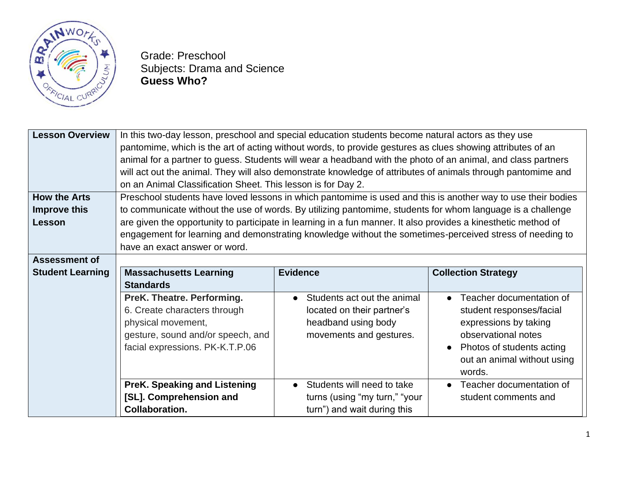

Grade: Preschool Subjects: Drama and Science **Guess Who?**

| <b>Lesson Overview</b>  | In this two-day lesson, preschool and special education students become natural actors as they use             |                               |                                       |  |  |
|-------------------------|----------------------------------------------------------------------------------------------------------------|-------------------------------|---------------------------------------|--|--|
|                         | pantomime, which is the art of acting without words, to provide gestures as clues showing attributes of an     |                               |                                       |  |  |
|                         | animal for a partner to guess. Students will wear a headband with the photo of an animal, and class partners   |                               |                                       |  |  |
|                         | will act out the animal. They will also demonstrate knowledge of attributes of animals through pantomime and   |                               |                                       |  |  |
|                         | on an Animal Classification Sheet. This lesson is for Day 2.                                                   |                               |                                       |  |  |
| <b>How the Arts</b>     | Preschool students have loved lessons in which pantomime is used and this is another way to use their bodies   |                               |                                       |  |  |
| Improve this            | to communicate without the use of words. By utilizing pantomime, students for whom language is a challenge     |                               |                                       |  |  |
| Lesson                  | are given the opportunity to participate in learning in a fun manner. It also provides a kinesthetic method of |                               |                                       |  |  |
|                         | engagement for learning and demonstrating knowledge without the sometimes-perceived stress of needing to       |                               |                                       |  |  |
|                         | have an exact answer or word.                                                                                  |                               |                                       |  |  |
| <b>Assessment of</b>    |                                                                                                                |                               |                                       |  |  |
| <b>Student Learning</b> | <b>Massachusetts Learning</b>                                                                                  | <b>Evidence</b>               | <b>Collection Strategy</b>            |  |  |
|                         | <b>Standards</b>                                                                                               |                               |                                       |  |  |
|                         | PreK. Theatre. Performing.                                                                                     | Students act out the animal   | Teacher documentation of<br>$\bullet$ |  |  |
|                         | 6. Create characters through                                                                                   | located on their partner's    | student responses/facial              |  |  |
|                         | physical movement,                                                                                             | headband using body           | expressions by taking                 |  |  |
|                         | gesture, sound and/or speech, and                                                                              | movements and gestures.       | observational notes                   |  |  |
|                         | facial expressions. PK-K.T.P.06                                                                                |                               | Photos of students acting             |  |  |
|                         |                                                                                                                |                               | out an animal without using           |  |  |
|                         |                                                                                                                |                               | words.                                |  |  |
|                         | <b>PreK. Speaking and Listening</b>                                                                            | Students will need to take    | Teacher documentation of<br>$\bullet$ |  |  |
|                         | [SL]. Comprehension and                                                                                        | turns (using "my turn," "your | student comments and                  |  |  |
|                         | <b>Collaboration.</b>                                                                                          | turn") and wait during this   |                                       |  |  |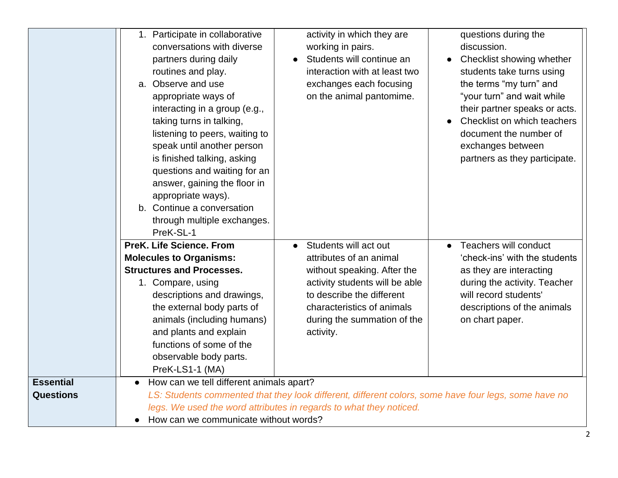|                                      | 1. Participate in collaborative<br>conversations with diverse<br>partners during daily<br>routines and play.<br>a. Observe and use<br>appropriate ways of<br>interacting in a group (e.g.,<br>taking turns in talking,                                                                                                  | activity in which they are<br>working in pairs.<br>Students will continue an<br>interaction with at least two<br>exchanges each focusing<br>on the animal pantomime.                                                     | questions during the<br>discussion.<br>Checklist showing whether<br>students take turns using<br>the terms "my turn" and<br>"your turn" and wait while<br>their partner speaks or acts.<br>Checklist on which teachers |
|--------------------------------------|-------------------------------------------------------------------------------------------------------------------------------------------------------------------------------------------------------------------------------------------------------------------------------------------------------------------------|--------------------------------------------------------------------------------------------------------------------------------------------------------------------------------------------------------------------------|------------------------------------------------------------------------------------------------------------------------------------------------------------------------------------------------------------------------|
|                                      | listening to peers, waiting to<br>speak until another person<br>is finished talking, asking<br>questions and waiting for an<br>answer, gaining the floor in<br>appropriate ways).<br>b. Continue a conversation<br>through multiple exchanges.<br>PreK-SL-1                                                             |                                                                                                                                                                                                                          | document the number of<br>exchanges between<br>partners as they participate.                                                                                                                                           |
|                                      | <b>PreK. Life Science. From</b><br><b>Molecules to Organisms:</b><br><b>Structures and Processes.</b><br>1. Compare, using<br>descriptions and drawings,<br>the external body parts of<br>animals (including humans)<br>and plants and explain<br>functions of some of the<br>observable body parts.<br>PreK-LS1-1 (MA) | Students will act out<br>attributes of an animal<br>without speaking. After the<br>activity students will be able<br>to describe the different<br>characteristics of animals<br>during the summation of the<br>activity. | <b>Teachers will conduct</b><br>'check-ins' with the students<br>as they are interacting<br>during the activity. Teacher<br>will record students'<br>descriptions of the animals<br>on chart paper.                    |
| <b>Essential</b><br><b>Questions</b> | How can we tell different animals apart?<br>$\bullet$<br>How can we communicate without words?                                                                                                                                                                                                                          | LS: Students commented that they look different, different colors, some have four legs, some have no<br>legs. We used the word attributes in regards to what they noticed.                                               |                                                                                                                                                                                                                        |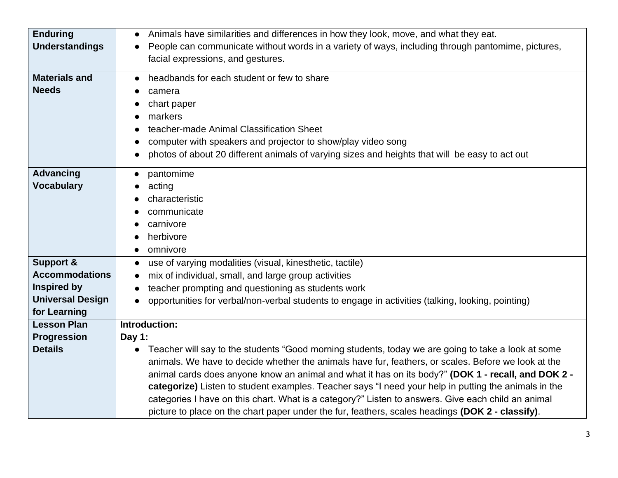| <b>Enduring</b>         | Animals have similarities and differences in how they look, move, and what they eat.<br>$\bullet$                                                                                                                                                                                                                            |
|-------------------------|------------------------------------------------------------------------------------------------------------------------------------------------------------------------------------------------------------------------------------------------------------------------------------------------------------------------------|
| <b>Understandings</b>   | People can communicate without words in a variety of ways, including through pantomime, pictures,<br>$\bullet$                                                                                                                                                                                                               |
|                         | facial expressions, and gestures.                                                                                                                                                                                                                                                                                            |
| <b>Materials and</b>    | headbands for each student or few to share<br>$\bullet$                                                                                                                                                                                                                                                                      |
| <b>Needs</b>            | camera                                                                                                                                                                                                                                                                                                                       |
|                         | chart paper                                                                                                                                                                                                                                                                                                                  |
|                         | markers                                                                                                                                                                                                                                                                                                                      |
|                         | teacher-made Animal Classification Sheet                                                                                                                                                                                                                                                                                     |
|                         | computer with speakers and projector to show/play video song                                                                                                                                                                                                                                                                 |
|                         | photos of about 20 different animals of varying sizes and heights that will be easy to act out                                                                                                                                                                                                                               |
| <b>Advancing</b>        | pantomime<br>$\bullet$                                                                                                                                                                                                                                                                                                       |
| <b>Vocabulary</b>       | acting                                                                                                                                                                                                                                                                                                                       |
|                         | characteristic                                                                                                                                                                                                                                                                                                               |
|                         | communicate                                                                                                                                                                                                                                                                                                                  |
|                         | carnivore                                                                                                                                                                                                                                                                                                                    |
|                         | herbivore                                                                                                                                                                                                                                                                                                                    |
|                         | omnivore<br>$\bullet$                                                                                                                                                                                                                                                                                                        |
| <b>Support &amp;</b>    | use of varying modalities (visual, kinesthetic, tactile)<br>$\bullet$                                                                                                                                                                                                                                                        |
| <b>Accommodations</b>   | mix of individual, small, and large group activities<br>$\bullet$                                                                                                                                                                                                                                                            |
| <b>Inspired by</b>      | teacher prompting and questioning as students work                                                                                                                                                                                                                                                                           |
| <b>Universal Design</b> | opportunities for verbal/non-verbal students to engage in activities (talking, looking, pointing)                                                                                                                                                                                                                            |
| for Learning            |                                                                                                                                                                                                                                                                                                                              |
| <b>Lesson Plan</b>      | Introduction:                                                                                                                                                                                                                                                                                                                |
| Progression             | Day 1:                                                                                                                                                                                                                                                                                                                       |
| <b>Details</b>          | Teacher will say to the students "Good morning students, today we are going to take a look at some<br>$\bullet$<br>animals. We have to decide whether the animals have fur, feathers, or scales. Before we look at the<br>animal cards does anyone know an animal and what it has on its body?" (DOK 1 - recall, and DOK 2 - |
|                         | categorize) Listen to student examples. Teacher says "I need your help in putting the animals in the<br>categories I have on this chart. What is a category?" Listen to answers. Give each child an animal<br>picture to place on the chart paper under the fur, feathers, scales headings (DOK 2 - classify).               |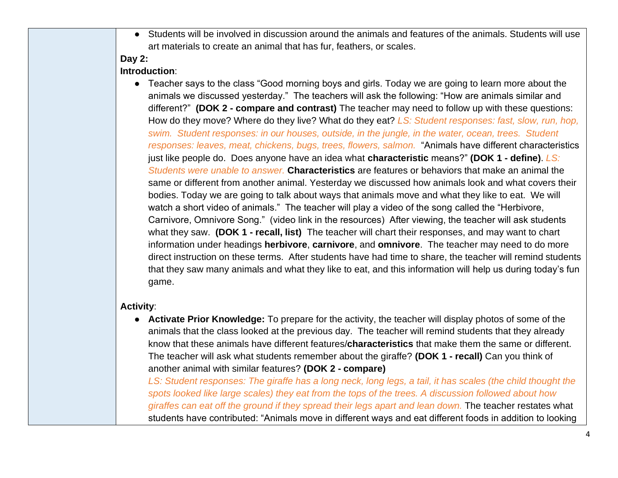● Students will be involved in discussion around the animals and features of the animals. Students will use art materials to create an animal that has fur, feathers, or scales.

# **Day 2:**

#### **Introduction**:

● Teacher says to the class "Good morning boys and girls. Today we are going to learn more about the animals we discussed yesterday." The teachers will ask the following: "How are animals similar and different?" **(DOK 2 - compare and contrast)** The teacher may need to follow up with these questions: How do they move? Where do they live? What do they eat? *LS: Student responses: fast, slow, run, hop, swim. Student responses: in our houses, outside, in the jungle, in the water, ocean, trees. Student responses: leaves, meat, chickens, bugs, trees, flowers, salmon.* "Animals have different characteristics just like people do. Does anyone have an idea what **characteristic** means?" **(DOK 1 - define)**. *LS: Students were unable to answer.* **Characteristics** are features or behaviors that make an animal the same or different from another animal. Yesterday we discussed how animals look and what covers their bodies. Today we are going to talk about ways that animals move and what they like to eat. We will watch a short video of animals." The teacher will play a video of the song called the "Herbivore, Carnivore, Omnivore Song." (video link in the resources) After viewing, the teacher will ask students what they saw. **(DOK 1 - recall, list)** The teacher will chart their responses, and may want to chart information under headings **herbivore**, **carnivore**, and **omnivore**. The teacher may need to do more direct instruction on these terms. After students have had time to share, the teacher will remind students that they saw many animals and what they like to eat, and this information will help us during today's fun game.

### **Activity**:

● **Activate Prior Knowledge:** To prepare for the activity, the teacher will display photos of some of the animals that the class looked at the previous day. The teacher will remind students that they already know that these animals have different features/**characteristics** that make them the same or different. The teacher will ask what students remember about the giraffe? **(DOK 1 - recall)** Can you think of another animal with similar features? **(DOK 2 - compare)**

*LS: Student responses: The giraffe has a long neck, long legs, a tail, it has scales (the child thought the spots looked like large scales) they eat from the tops of the trees. A discussion followed about how giraffes can eat off the ground if they spread their legs apart and lean down.* The teacher restates what students have contributed: "Animals move in different ways and eat different foods in addition to looking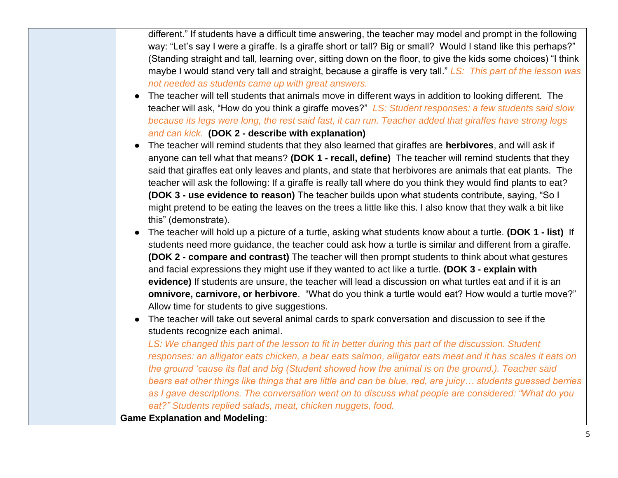different." If students have a difficult time answering, the teacher may model and prompt in the following way: "Let's say I were a giraffe. Is a giraffe short or tall? Big or small? Would I stand like this perhaps?" (Standing straight and tall, learning over, sitting down on the floor, to give the kids some choices) "I think maybe I would stand very tall and straight, because a giraffe is very tall." *LS: This part of the lesson was not needed as students came up with great answers.*

- The teacher will tell students that animals move in different ways in addition to looking different. The teacher will ask, "How do you think a giraffe moves?" *LS: Student responses: a few students said slow because its legs were long, the rest said fast, it can run. Teacher added that giraffes have strong legs and can kick.* **(DOK 2 - describe with explanation)**
- The teacher will remind students that they also learned that giraffes are **herbivores**, and will ask if anyone can tell what that means? **(DOK 1 - recall, define)** The teacher will remind students that they said that giraffes eat only leaves and plants, and state that herbivores are animals that eat plants. The teacher will ask the following: If a giraffe is really tall where do you think they would find plants to eat? **(DOK 3 - use evidence to reason)** The teacher builds upon what students contribute, saying, "So I might pretend to be eating the leaves on the trees a little like this. I also know that they walk a bit like this" (demonstrate).
- The teacher will hold up a picture of a turtle, asking what students know about a turtle. **(DOK 1 - list)** If students need more guidance, the teacher could ask how a turtle is similar and different from a giraffe. **(DOK 2 - compare and contrast)** The teacher will then prompt students to think about what gestures and facial expressions they might use if they wanted to act like a turtle. **(DOK 3 - explain with evidence)** If students are unsure, the teacher will lead a discussion on what turtles eat and if it is an **omnivore, carnivore, or herbivore**. "What do you think a turtle would eat? How would a turtle move?" Allow time for students to give suggestions.
- The teacher will take out several animal cards to spark conversation and discussion to see if the students recognize each animal.

*LS: We changed this part of the lesson to fit in better during this part of the discussion. Student responses: an alligator eats chicken, a bear eats salmon, alligator eats meat and it has scales it eats on the ground 'cause its flat and big (Student showed how the animal is on the ground.). Teacher said bears eat other things like things that are little and can be blue, red, are juicy… students guessed berries as I gave descriptions. The conversation went on to discuss what people are considered: "What do you eat?" Students replied salads, meat, chicken nuggets, food.*

**Game Explanation and Modeling**: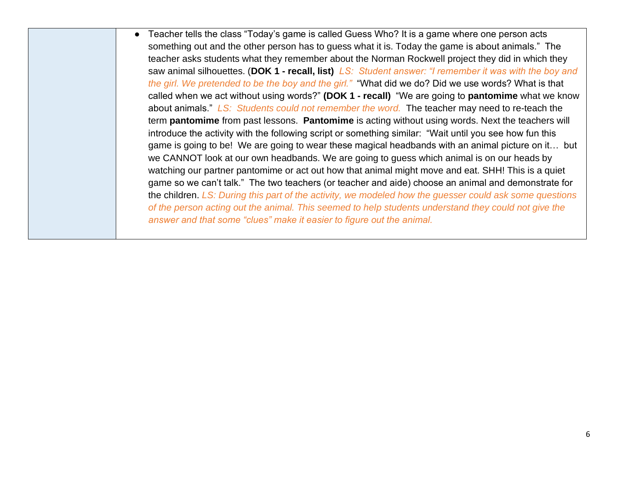● Teacher tells the class "Today's game is called Guess Who? It is a game where one person acts something out and the other person has to guess what it is. Today the game is about animals." The teacher asks students what they remember about the Norman Rockwell project they did in which they saw animal silhouettes. (**DOK 1 - recall, list)** *LS: Student answer: "I remember it was with the boy and the girl. We pretended to be the boy and the girl."* "What did we do? Did we use words? What is that called when we act without using words?" **(DOK 1 - recall)** "We are going to **pantomime** what we know about animals." *LS: Students could not remember the word.* The teacher may need to re-teach the term **pantomime** from past lessons. **Pantomime** is acting without using words. Next the teachers will introduce the activity with the following script or something similar: "Wait until you see how fun this game is going to be! We are going to wear these magical headbands with an animal picture on it… but we CANNOT look at our own headbands. We are going to guess which animal is on our heads by watching our partner pantomime or act out how that animal might move and eat. SHH! This is a quiet game so we can't talk." The two teachers (or teacher and aide) choose an animal and demonstrate for the children. *LS: During this part of the activity, we modeled how the guesser could ask some questions of the person acting out the animal. This seemed to help students understand they could not give the answer and that some "clues" make it easier to figure out the animal.*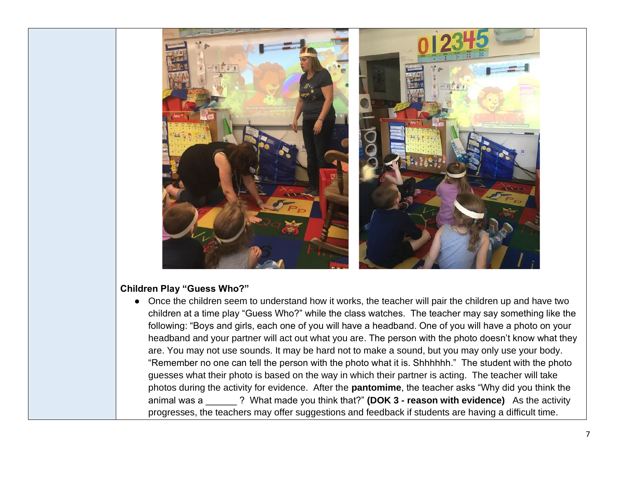

### **Children Play "Guess Who?"**

• Once the children seem to understand how it works, the teacher will pair the children up and have two children at a time play "Guess Who?" while the class watches. The teacher may say something like the following: "Boys and girls, each one of you will have a headband. One of you will have a photo on your headband and your partner will act out what you are. The person with the photo doesn't know what they are. You may not use sounds. It may be hard not to make a sound, but you may only use your body. "Remember no one can tell the person with the photo what it is. Shhhhhh." The student with the photo guesses what their photo is based on the way in which their partner is acting. The teacher will take photos during the activity for evidence. After the **pantomime**, the teacher asks "Why did you think the animal was a \_\_\_\_\_\_ ? What made you think that?" **(DOK 3 - reason with evidence)** As the activity progresses, the teachers may offer suggestions and feedback if students are having a difficult time.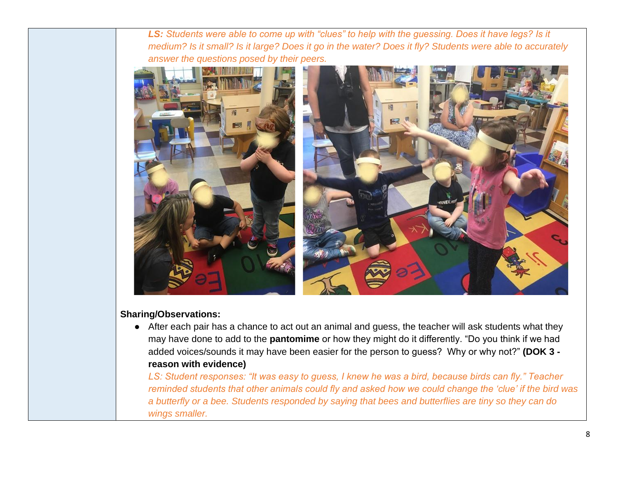*LS: Students were able to come up with "clues" to help with the guessing. Does it have legs? Is it medium? Is it small? Is it large? Does it go in the water? Does it fly? Students were able to accurately answer the questions posed by their peers.*



# **Sharing/Observations:**

● After each pair has a chance to act out an animal and guess, the teacher will ask students what they may have done to add to the **pantomime** or how they might do it differently. "Do you think if we had added voices/sounds it may have been easier for the person to guess? Why or why not?" **(DOK 3 reason with evidence)** 

*LS: Student responses: "It was easy to guess, I knew he was a bird, because birds can fly." Teacher reminded students that other animals could fly and asked how we could change the 'clue' if the bird was a butterfly or a bee. Students responded by saying that bees and butterflies are tiny so they can do wings smaller.*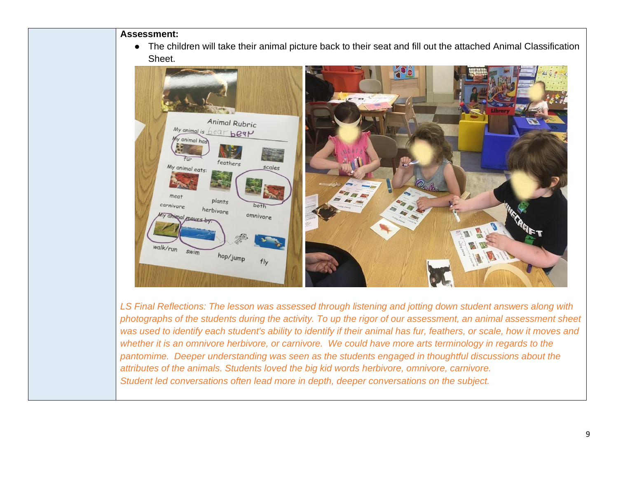**Assessment:**

● The children will take their animal picture back to their seat and fill out the attached Animal Classification Sheet.



*LS Final Reflections: The lesson was assessed through listening and jotting down student answers along with photographs of the students during the activity. To up the rigor of our assessment, an animal assessment sheet was used to identify each student's ability to identify if their animal has fur, feathers, or scale, how it moves and whether it is an omnivore herbivore, or carnivore. We could have more arts terminology in regards to the pantomime. Deeper understanding was seen as the students engaged in thoughtful discussions about the attributes of the animals. Students loved the big kid words herbivore, omnivore, carnivore. Student led conversations often lead more in depth, deeper conversations on the subject.*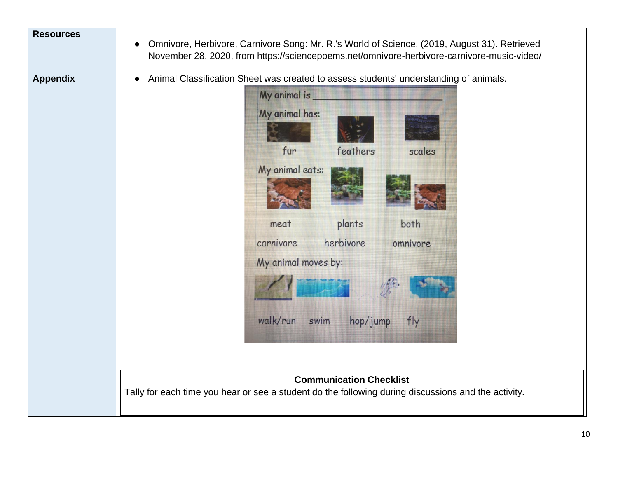| <b>Resources</b> | Omnivore, Herbivore, Carnivore Song: Mr. R.'s World of Science. (2019, August 31). Retrieved<br>$\bullet$<br>November 28, 2020, from https://sciencepoems.net/omnivore-herbivore-carnivore-music-video/                                                                                                              |
|------------------|----------------------------------------------------------------------------------------------------------------------------------------------------------------------------------------------------------------------------------------------------------------------------------------------------------------------|
| <b>Appendix</b>  | Animal Classification Sheet was created to assess students' understanding of animals.<br>$\bullet$<br>My animal is _<br>My animal has:<br>fur<br>feathers<br>scales<br>My animal eats:<br>plants<br>both<br>meat<br>herbivore<br>carnivore<br>omnivore<br>My animal moves by:<br>walk/run<br>swim<br>hop/jump<br>fly |
|                  | <b>Communication Checklist</b><br>Tally for each time you hear or see a student do the following during discussions and the activity.                                                                                                                                                                                |